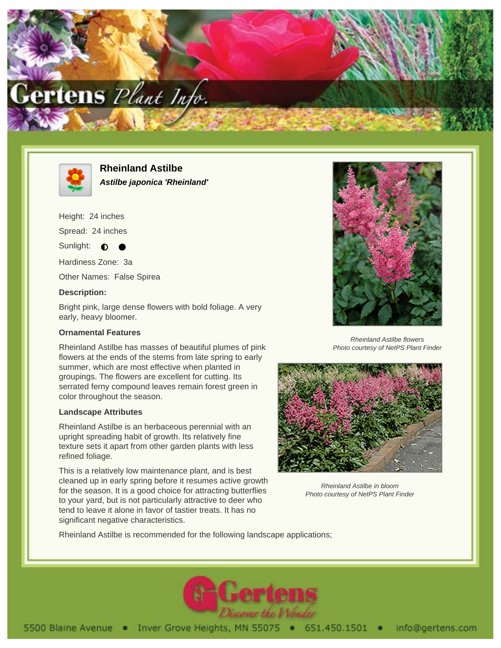



**Rheinland Astilbe Astilbe japonica 'Rheinland'**

Height: 24 inches

Spread: 24 inches

Sunlight:  $\bullet$ 

Hardiness Zone: 3a

Other Names: False Spirea

## **Description:**

Bright pink, large dense flowers with bold foliage. A very early, heavy bloomer.

## **Ornamental Features**

Rheinland Astilbe has masses of beautiful plumes of pink flowers at the ends of the stems from late spring to early summer, which are most effective when planted in groupings. The flowers are excellent for cutting. Its serrated ferny compound leaves remain forest green in color throughout the season.

## **Landscape Attributes**

Rheinland Astilbe is an herbaceous perennial with an upright spreading habit of growth. Its relatively fine texture sets it apart from other garden plants with less refined foliage.

This is a relatively low maintenance plant, and is best cleaned up in early spring before it resumes active growth for the season. It is a good choice for attracting butterflies to your yard, but is not particularly attractive to deer who tend to leave it alone in favor of tastier treats. It has no significant negative characteristics.



Rheinland Astilbe flowers Photo courtesy of NetPS Plant Finder



Rheinland Astilbe in bloom Photo courtesy of NetPS Plant Finder

Rheinland Astilbe is recommended for the following landscape applications;